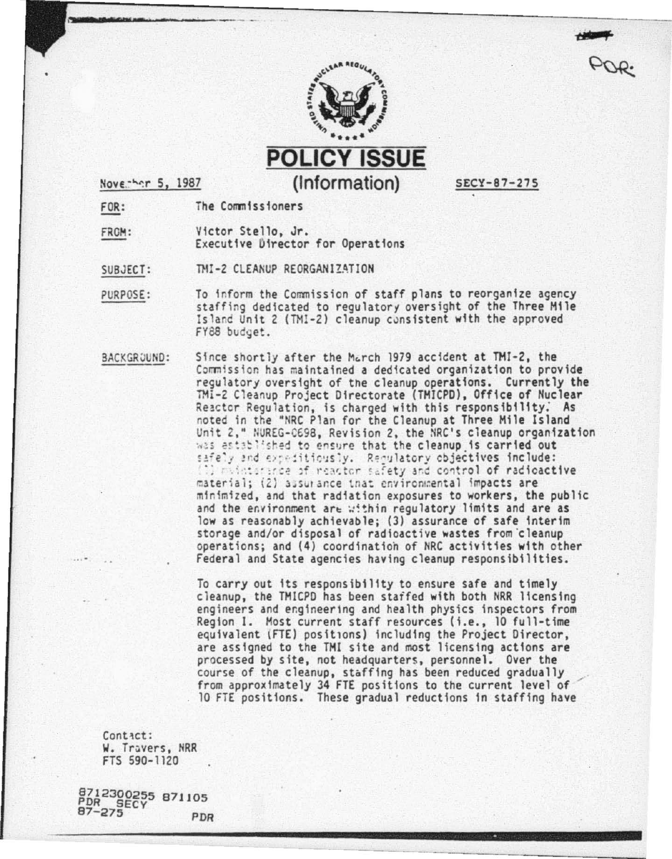

**POLICY ISSUE** (Information)

Noverhar 5, 1987

SECY-87-275

The Commissioners FOR:

FROM: Victor Stello, Jr. Executive Director for Operations

TMI-2 CLEANUP REORGANIZATION SUBJECT:

- To inform the Commission of staff plans to reorganize agency PURPOSE: staffing dedicated to regulatory oversight of the Three Mile Island Unit 2 (TMI-2) cleanup consistent with the approved FY88 budget.
- BACKGROUND: Since shortly after the March 1979 accident at TMI-2, the Commission has maintained a dedicated organization to provide requiatory oversight of the cleanup operations. Currently the TMI-2 Cleanup Project Directorate (TMICPD), Office of Nuclear Reactor Regulation, is charged with this responsibility. As noted in the "NRC Plan for the Cleanup at Three Mile Island Unit 2," NUREG-0698, Revision 2, the NRC's cleanup organization was astablished to ensure that the cleanup is carried out safely and expeditiously. Regulatory objectives include: i) mainterance of reactor safety and control of radioactive material; (2) assurance that environmental impacts are minimized, and that radiation exposures to workers, the public and the environment are within regulatory limits and are as low as reasonably achievable; (3) assurance of safe interim storage and/or disposal of radioactive wastes from cleanup operations; and (4) coordination of NRC activities with other Federal and State agencies having cleanup responsibilities.

To carry out its responsibility to ensure safe and timely cleanup, the TMICPD has been starfed with both NRR licensing engineers and engineering and health physics inspectors from Region 1. Most current staff resources (i.e., 10 full-time equivalent (FTE) positions) including the Project Director, are assigned to the TMI site and most licensing actions are processed by site, not headquarters, personnel. Over the course of the cleanup, staffing has been reduced gradually from approximately 34 FTE positions to the current level of 10 FTE positions. These gradual reductions in staffing have

Contact: W. Travers, NRR FTS 590-1120

8712300255 871105<br>PDR SECY 871105 PDR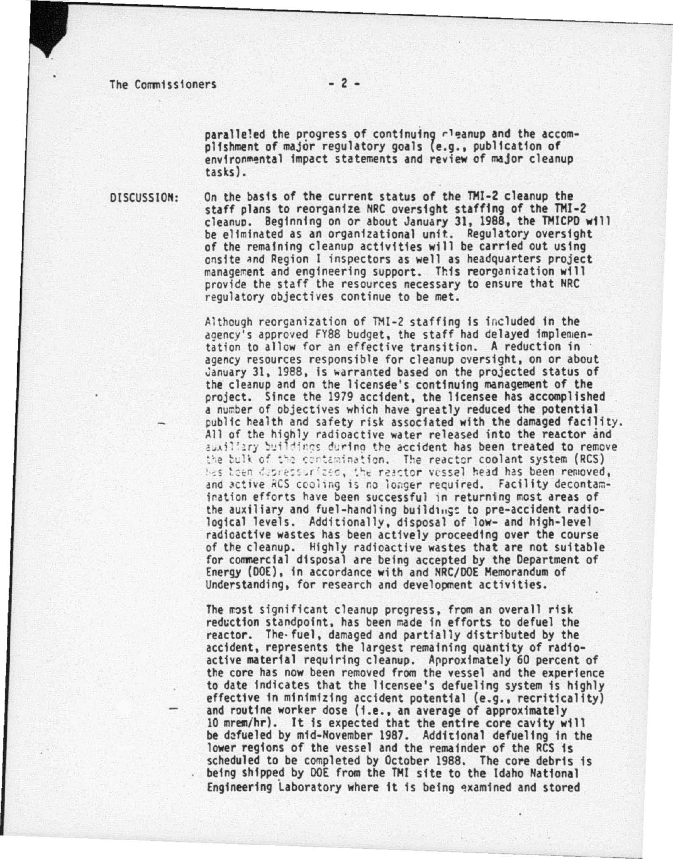paralleled the progress of continuing rleanup and the accomplishment of major regulatory goals (e.g., publication of environmental impact statements and review of major cleanup<br>tasks).

DISCUSSION:

On the basis of the current status of the THI-2 cleanup the staff plans to reorganize NRC oversight staffing of the TMI-2 cleanuo. Beginning on *or* about January 31, 1988, the THICPD will of the remaining cleanup activities will be carried out using<br>onsite and Region I inspectors as well as headquarters project management and engineering support. This reorganization will provide the staff the resources necessary to ensure that NRC regulatory objectives continue to be met.

Although reorganization of TMI-2 staffing is included in the agency's approved FY88 budget, the staff had delayed implemen-<br>tation to allow for an effective transition. A reduction in agency resources responsible for cleanup oversight, on or about January 31, 1988, is warranted based on the projected status of the cleanup and on the licensee's continuing management of the project. Since the 1979 accident, the licensee has accomplished<br>a number of objectives which have greatly reduced the potential public health and safety risk associated with the damaged facility.<br>All of the highly radioactive water released into the reactor and auxiliary buildings during the accident has been treated to remove the bulk of the contamination. The reactor coolant system (RCS) has toen depreciprized, the reactor vessel head has been removed, and active RCS cooling is no longer required. Facility decontamination efforts have been successful in returning most areas of the auxiliary and fuel-handling buildings to pre-accident radio-<br>logical levels. Additionally, disposal of low- and high-level radioactive wastes has been actively proceeding over the course of the cleanup. Highly radioactive wastes that are not suitable for commercial disposal are being accepted by the Department of Energy (DOE), fn accordance with and NRC/DOE Memorandum of Understanding, for research and development activities.

The most significant cleanup progress, from an overall risk reduction standpoint, has been made in efforts to defuel the reactor. The· fuel, damaged and partially distributed by the accident, represents the largest remaining quantity of radioactive material requiring cleanup. Approximately 60 percent of the core has now been removed from the vessel and the experience<br>to date indicates that the licensee's defueling system is highly effective in minimizing accident potential (e.g., recriticality)<br>and routine worker dose (i.e., an average of approximately<br>10 mrem/hr). It is expected that the entire core cavity will be defueled by mid-November 1987. Additional defueling in the lower regions of the vessel and the remainder of the RCS is scheduled to be completed by October 1988. The core debris is being shipped by DOE from the THI site to the Idaho National Engineering laboratory where ft fs befng qxamined and stored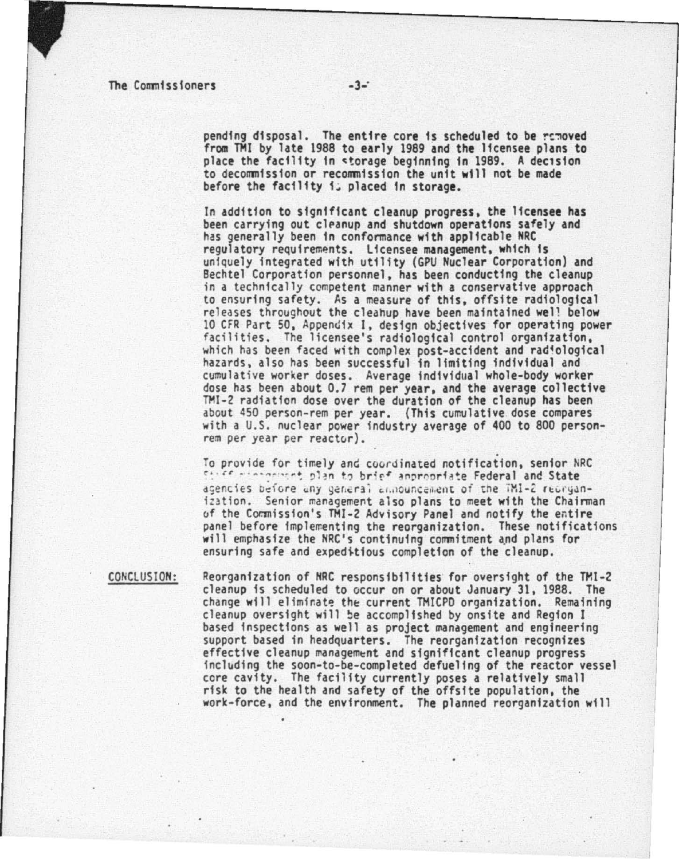pending disposal. The entire core is scheduled to be removed from THI by late 1988 to early 1989 and the licensee plans to place the facility in storage beginning in 1989. A decision to decommission or recommission the unft will not be made before the facility i; placed in storage.

In addition to significant cleanup progress, the licensee has been carrying out cleanup and shutdown operations safely and has generally been in conformance with applicable NRC regulatory requirements. Licensee management, which is uniquely integrated with utility (GPU Nuclear Corporation) and Bechtel Corporation personnel, has been conducting the cleanup<br>in a technically competent manner with a conservative approach<br>to ensuring safety. As a measure of this, offsite radiological releases throughout the cleahup have been maintained well below<br>10 CFR Part 50, Appendix 1, design objectives for operating power facilities. The licensee's radiological control organization,<br>which has been faced with complex post-accident and radiological<br>hazards, also has been successful in limiting individual and cumulative worker doses. Average individual whole-body worker dose has been about 0.7 rem per year, and the average collective TMI-2 radiation dose over the duration of the cleanup has been about 450 person-rem per year. (This cumulative dose compares with a U.S. nuclear power industry average of 400 to 800 person· rem per year per reactor).

To provide for timely and coordinated notification, senior NRC <sup>~</sup>*. . u* ··~ . .., . ... .. ': ~1 ~n ., br;r4" ~f"l'r"' ri~~e Federal and State agencies before any general announcement of the TMI-2 reorganization. Senior management also plans to meet with the Chairman of the Commission's TMI-2 Advisory Panel and notify the entire panel before implementing the reorganization. These notifications will emphasize the NRC's continuing commitment and plans for ensuring safe and expeditious completion of the cleanup.

CONCLUSION:

Reorganization of NRC responsibilities for oversight of the TMl-2 cleanup is scheduled to occur on or about Jdnuary 31, 1988. The change will eliminate the current TMICPD organization. Remaining<br>cleanup oversight will be accomplished by onsite and Region I based inspections as well as project management and engineering support based in headquarters. The reorganization recognizes<br>effective cleanup management and significant cleanup progress including the soon-to-be-completed defueling of the reactor vessel core cavity. The facility currently poses a relatively small risk to the health and safety of the offsite population, the work-force, and the environment. The planned reorganization wfll